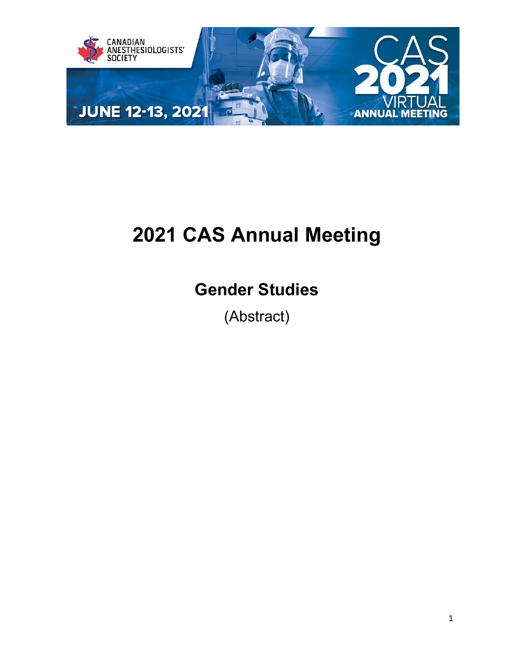

# **2021 CAS Annual Meeting**

## **Gender Studies**

(Abstract)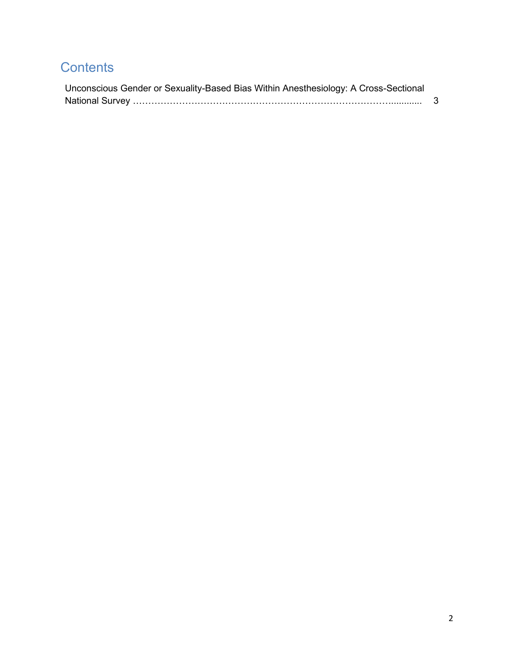## **Contents**

| Unconscious Gender or Sexuality-Based Bias Within Anesthesiology: A Cross-Sectional |  |
|-------------------------------------------------------------------------------------|--|
|                                                                                     |  |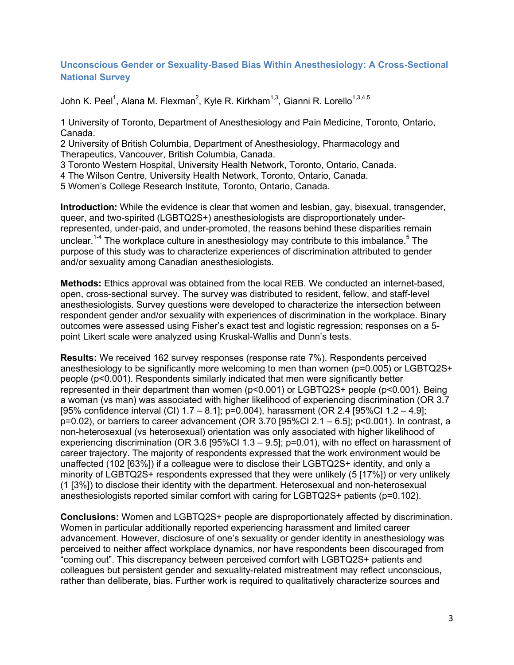### <span id="page-2-0"></span>**Unconscious Gender or Sexuality-Based Bias Within Anesthesiology: A Cross-Sectional National Survey**

John K. Peel $^1$ , Alana M. Flexman $^2$ , Kyle R. Kirkham $^{1,3},$  Gianni R. Lorello $^{1,3,4,5}$ 

1 University of Toronto, Department of Anesthesiology and Pain Medicine, Toronto, Ontario, Canada.

2 University of British Columbia, Department of Anesthesiology, Pharmacology and Therapeutics, Vancouver, British Columbia, Canada.

3 Toronto Western Hospital, University Health Network, Toronto, Ontario, Canada.

4 The Wilson Centre, University Health Network, Toronto, Ontario, Canada.

5 Women's College Research Institute, Toronto, Ontario, Canada.

**Introduction:** While the evidence is clear that women and lesbian, gay, bisexual, transgender, queer, and two-spirited (LGBTQ2S+) anesthesiologists are disproportionately underrepresented, under-paid, and under-promoted, the reasons behind these disparities remain unclear.<sup>1-4</sup> The workplace culture in anesthesiology may contribute to this imbalance.<sup>5</sup> The purpose of this study was to characterize experiences of discrimination attributed to gender and/or sexuality among Canadian anesthesiologists.

**Methods:** Ethics approval was obtained from the local REB. We conducted an internet-based, open, cross-sectional survey. The survey was distributed to resident, fellow, and staff-level anesthesiologists. Survey questions were developed to characterize the intersection between respondent gender and/or sexuality with experiences of discrimination in the workplace. Binary outcomes were assessed using Fisher's exact test and logistic regression; responses on a 5 point Likert scale were analyzed using Kruskal-Wallis and Dunn's tests.

**Results:** We received 162 survey responses (response rate 7%). Respondents perceived anesthesiology to be significantly more welcoming to men than women (p=0.005) or LGBTQ2S+ people (p<0.001). Respondents similarly indicated that men were significantly better represented in their department than women (p<0.001) or LGBTQ2S+ people (p<0.001). Being a woman (vs man) was associated with higher likelihood of experiencing discrimination (OR 3.7 [95% confidence interval (CI) 1.7 – 8.1]; p=0.004), harassment (OR 2.4 [95%CI 1.2 – 4.9]; p=0.02), or barriers to career advancement (OR 3.70 [95%CI 2.1 – 6.5]; p<0.001). In contrast, a non-heterosexual (vs heterosexual) orientation was only associated with higher likelihood of experiencing discrimination (OR 3.6 [95%CI 1.3 – 9.5]; p=0.01), with no effect on harassment of career trajectory. The majority of respondents expressed that the work environment would be unaffected (102 [63%]) if a colleague were to disclose their LGBTQ2S+ identity, and only a minority of LGBTQ2S+ respondents expressed that they were unlikely (5 [17%]) or very unlikely (1 [3%]) to disclose their identity with the department. Heterosexual and non-heterosexual anesthesiologists reported similar comfort with caring for LGBTQ2S+ patients (p=0.102).

**Conclusions:** Women and LGBTQ2S+ people are disproportionately affected by discrimination. Women in particular additionally reported experiencing harassment and limited career advancement. However, disclosure of one's sexuality or gender identity in anesthesiology was perceived to neither affect workplace dynamics, nor have respondents been discouraged from "coming out". This discrepancy between perceived comfort with LGBTQ2S+ patients and colleagues but persistent gender and sexuality-related mistreatment may reflect unconscious, rather than deliberate, bias. Further work is required to qualitatively characterize sources and